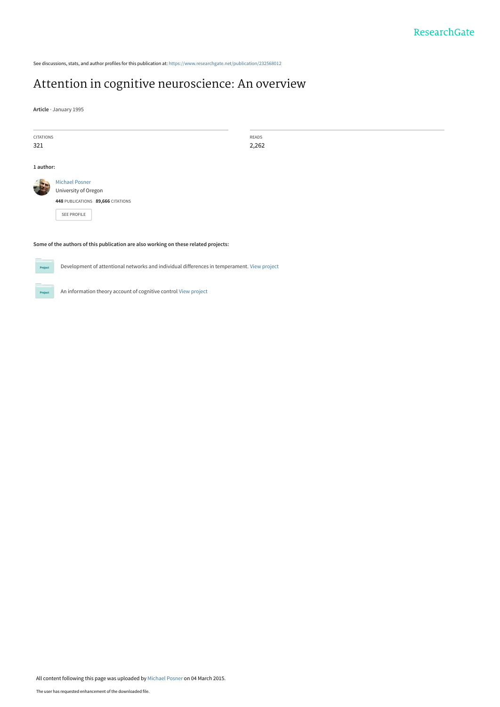See discussions, stats, and author profiles for this publication at: [https://www.researchgate.net/publication/232568012](https://www.researchgate.net/publication/232568012_Attention_in_cognitive_neuroscience_An_overview?enrichId=rgreq-aeddd929bf6ed1c27edebb92b8917e22-XXX&enrichSource=Y292ZXJQYWdlOzIzMjU2ODAxMjtBUzoyMDMyNzU2NjUxODY4MTdAMTQyNTQ3NjEwMzQwMA%3D%3D&el=1_x_2&_esc=publicationCoverPdf)

# [Attention in cognitive neuroscience: An overview](https://www.researchgate.net/publication/232568012_Attention_in_cognitive_neuroscience_An_overview?enrichId=rgreq-aeddd929bf6ed1c27edebb92b8917e22-XXX&enrichSource=Y292ZXJQYWdlOzIzMjU2ODAxMjtBUzoyMDMyNzU2NjUxODY4MTdAMTQyNTQ3NjEwMzQwMA%3D%3D&el=1_x_3&_esc=publicationCoverPdf)

**Article** · January 1995

| <b>CITATIONS</b> |                                   |                                                                                     | READS |  |
|------------------|-----------------------------------|-------------------------------------------------------------------------------------|-------|--|
| 321              |                                   |                                                                                     | 2,262 |  |
|                  |                                   |                                                                                     |       |  |
| 1 author:        |                                   |                                                                                     |       |  |
|                  | <b>Michael Posner</b>             |                                                                                     |       |  |
|                  | University of Oregon              |                                                                                     |       |  |
|                  | 448 PUBLICATIONS 89,666 CITATIONS |                                                                                     |       |  |
|                  | SEE PROFILE                       |                                                                                     |       |  |
|                  |                                   |                                                                                     |       |  |
|                  |                                   |                                                                                     |       |  |
|                  |                                   | Some of the authors of this publication are also working on these related projects: |       |  |

#### **Some of the authors of this publication are also working on these related projects:**



 $Pro$ 

Development of attentional networks and individual differences in temperament. [View project](https://www.researchgate.net/project/Development-of-attentional-networks-and-individual-differences-in-temperament?enrichId=rgreq-aeddd929bf6ed1c27edebb92b8917e22-XXX&enrichSource=Y292ZXJQYWdlOzIzMjU2ODAxMjtBUzoyMDMyNzU2NjUxODY4MTdAMTQyNTQ3NjEwMzQwMA%3D%3D&el=1_x_9&_esc=publicationCoverPdf)

An information theory account of cognitive control [View project](https://www.researchgate.net/project/An-information-theory-account-of-cognitive-control?enrichId=rgreq-aeddd929bf6ed1c27edebb92b8917e22-XXX&enrichSource=Y292ZXJQYWdlOzIzMjU2ODAxMjtBUzoyMDMyNzU2NjUxODY4MTdAMTQyNTQ3NjEwMzQwMA%3D%3D&el=1_x_9&_esc=publicationCoverPdf)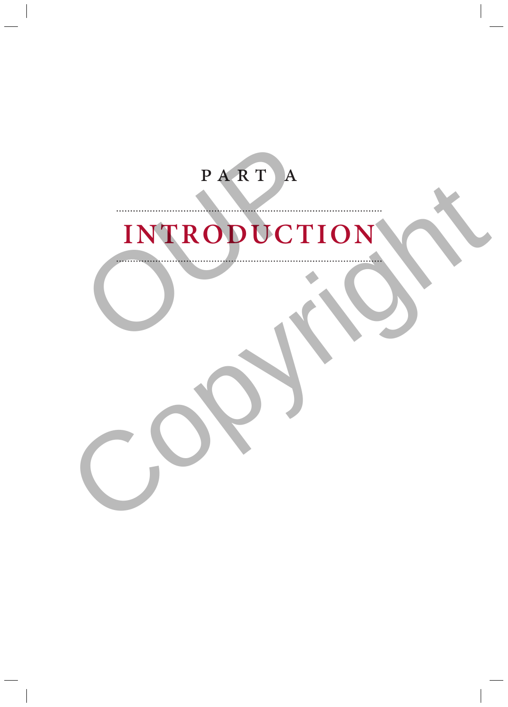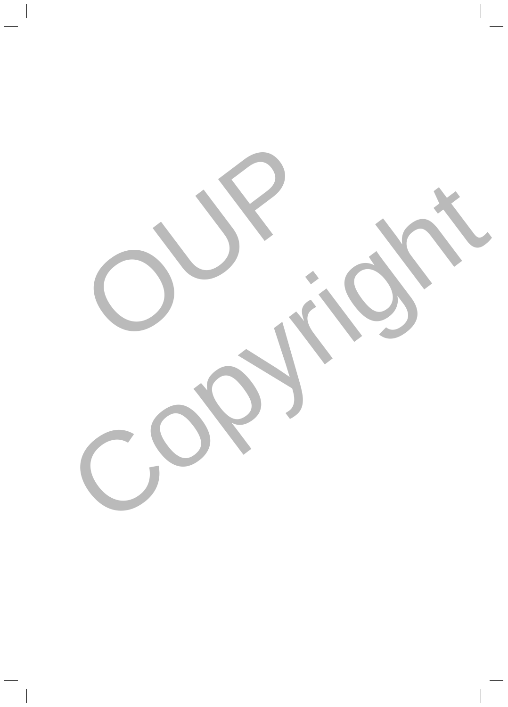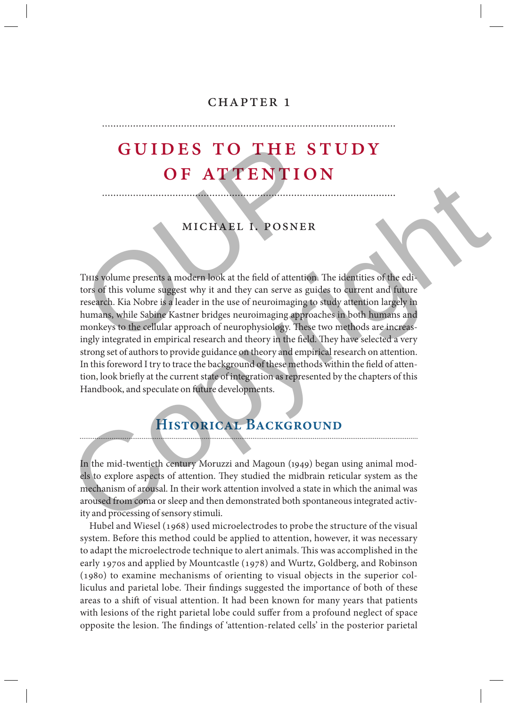### CHAPTER 1

# GUIDES TO THE STUDY OF ATTENTION

## MICHAEL I. POSNER

This volume presents a modern look at the field of attention. The identities of the editors of this volume suggest why it and they can serve as guides to current and future research. Kia Nobre is a leader in the use of neuroimaging to study attention largely in humans, while Sabine Kastner bridges neuroimaging approaches in both humans and monkeys to the cellular approach of neurophysiology. These two methods are increasingly integrated in empirical research and theory in the field. They have selected a very strong set of authors to provide guidance on theory and empirical research on attention. In this foreword I try to trace the background of these methods within the field of attention, look briefly at the current state of integration as represented by the chapters of this Handbook, and speculate on future developments. **GUIDES TO THE STU**<br> **OF ATTENTION**<br>
MICHAEL I. POSNER<br>
THIS volume presents a modern look at the field of attention. The ide<br>
tors of this volume suggest why it and they can serve as guides to c<br>
research. Kia Nobre is a MICHAEL I. POSNER<br>
This volume presents a modern look at the field of attention. The identities of the editors of this volume suggest why it and they can serve as guides to current and functions are resulted. Kia Nober is

# **Historical Background**

 In the mid-twentieth century Moruzzi and Magoun (1949) began using animal models to explore aspects of attention. They studied the midbrain reticular system as the mechanism of arousal. In their work attention involved a state in which the animal was aroused from coma or sleep and then demonstrated both spontaneous integrated activity and processing of sensory stimuli.

 Hubel and Wiesel (1968) used microelectrodes to probe the structure of the visual system. Before this method could be applied to attention, however, it was necessary to adapt the microelectrode technique to alert animals. This was accomplished in the early 1970s and applied by Mountcastle (1978) and Wurtz, Goldberg, and Robinson (1980) to examine mechanisms of orienting to visual objects in the superior colliculus and parietal lobe. Their findings suggested the importance of both of these areas to a shift of visual attention. It had been known for many years that patients with lesions of the right parietal lobe could suffer from a profound neglect of space opposite the lesion. The findings of 'attention-related cells' in the posterior parietal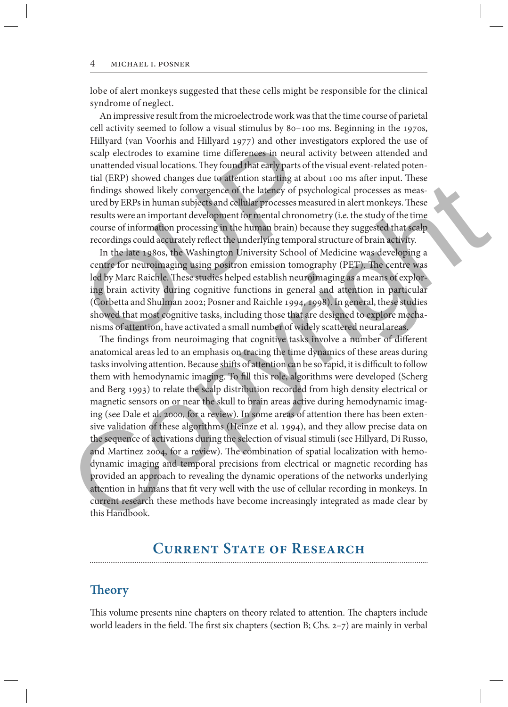#### 4 Michael I. Posner

lobe of alert monkeys suggested that these cells might be responsible for the clinical syndrome of neglect.

 An impressive result from the microelectrode work was that the time course of parietal cell activity seemed to follow a visual stimulus by 80–100 ms. Beginning in the 1970s, Hillyard (van Voorhis and Hillyard 1977) and other investigators explored the use of scalp electrodes to examine time differences in neural activity between attended and unattended visual locations. They found that early parts of the visual event-related potential (ERP) showed changes due to attention starting at about 100 ms after input. These findings showed likely convergence of the latency of psychological processes as measured by ERPs in human subjects and cellular processes measured in alert monkeys. These results were an important development for mental chronometry (i.e. the study of the time course of information processing in the human brain) because they suggested that scalp recordings could accurately reflect the underlying temporal structure of brain activity. Finipard (van voorms and Finipard 19//) and other investigators<br>scalp electrodes to examine time differences in neural activity be<br>unattended visual locations. They found that early parts of the visual<br>tial (ERP) showed ch

 In the late 1980s, the Washington University School of Medicine was developing a centre for neuroimaging using positron emission tomography (PET). The centre was led by Marc Raichle. These studies helped establish neuroimaging as a means of exploring brain activity during cognitive functions in general and attention in particular (Corbetta and Shulman 2002; Posner and Raichle 1994, 1998). In general, these studies showed that most cognitive tasks, including those that are designed to explore mechanisms of attention, have activated a small number of widely scattered neural areas.

The findings from neuroimaging that cognitive tasks involve a number of different anatomical areas led to an emphasis on tracing the time dynamics of these areas during tasks involving attention. Because shifts of attention can be so rapid, it is difficult to follow them with hemodynamic imaging. To fill this role, algorithms were developed (Scherg and Berg 1993) to relate the scalp distribution recorded from high density electrical or magnetic sensors on or near the skull to brain areas active during hemodynamic imaging (see Dale et al. 2000, for a review). In some areas of attention there has been extensive validation of these algorithms (Heinze et al. 1994), and they allow precise data on the sequence of activations during the selection of visual stimuli (see Hillyard, Di Russo, and Martinez 2004, for a review). The combination of spatial localization with hemodynamic imaging and temporal precisions from electrical or magnetic recording has provided an approach to revealing the dynamic operations of the networks underlying attention in humans that fit very well with the use of cellular recording in monkeys. In current research these methods have become increasingly integrated as made clear by this Handbook. drivans y and the main subjects and editing processes as measured in the main term in the main subjects and editing processes as measured in alternatively compared by ERPs in human subjects and control results were an imp

# **Current State of Research**

## **Theory**

This volume presents nine chapters on theory related to attention. The chapters include world leaders in the field. The first six chapters (section B; Chs.  $2-7$ ) are mainly in verbal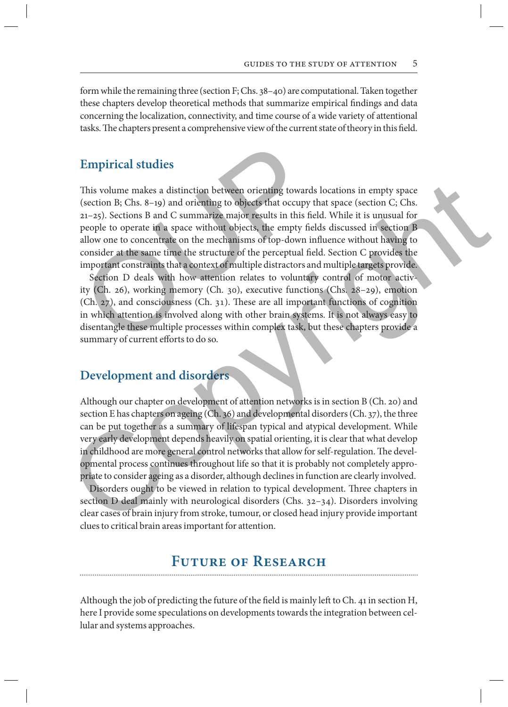form while the remaining three (section F; Chs. 38–40 ) are computational. Taken together these chapters develop theoretical methods that summarize empirical findings and data concerning the localization, connectivity, and time course of a wide variety of attentional tasks. The chapters present a comprehensive view of the current state of theory in this field.

## **Empirical studies**

This volume makes a distinction between orienting towards locations in empty space (section B; Chs. 8–19 ) and orienting to objects that occupy that space (section C; Chs.  $21-25$ ). Sections B and C summarize major results in this field. While it is unusual for people to operate in a space without objects, the empty fields discussed in section B allow one to concentrate on the mechanisms of top-down influence without having to consider at the same time the structure of the perceptual field. Section C provides the important constraints that a context of multiple distractors and multiple targets provide. **Empirical studies**<br>This volume makes a distinction between orienting towards location<br>(section B; Chs. 8–19) and orienting to objects that occupy that space<br>21–25). Sections B and C summarize major results in this field. This volume makes a distinction between orienting towards locations in empty space<br>(section B; Chs. 8-19) and orienting to objects that occupy that space<br>(section B, chs. 3-1-3). Sections B and C summarize major results i

 Section D deals with how attention relates to voluntary control of motor activity (Ch. 26), working memory (Ch. 30), executive functions (Chs. 28-29), emotion  $(Ch. 27)$ , and consciousness  $(Ch. 31)$ . These are all important functions of cognition in which attention is involved along with other brain systems. It is not always easy to disentangle these multiple processes within complex task, but these chapters provide a summary of current efforts to do so.

#### **Development and disorders**

 Although our chapter on development of attention networks is in section B (Ch. 20 ) and section E has chapters on ageing (Ch. 36) and developmental disorders (Ch. 37), the three can be put together as a summary of lifespan typical and atypical development. While very early development depends heavily on spatial orienting, it is clear that what develop in childhood are more general control networks that allow for self-regulation. The developmental process continues throughout life so that it is probably not completely appropriate to consider ageing as a disorder, although declines in function are clearly involved.

Disorders ought to be viewed in relation to typical development. Three chapters in section  $D$  deal mainly with neurological disorders (Chs. 32–34). Disorders involving clear cases of brain injury from stroke, tumour, or closed head injury provide important clues to critical brain areas important for attention.

# **Future of Research**

Although the job of predicting the future of the field is mainly left to Ch. 41 in section H, here I provide some speculations on developments towards the integration between cellular and systems approaches.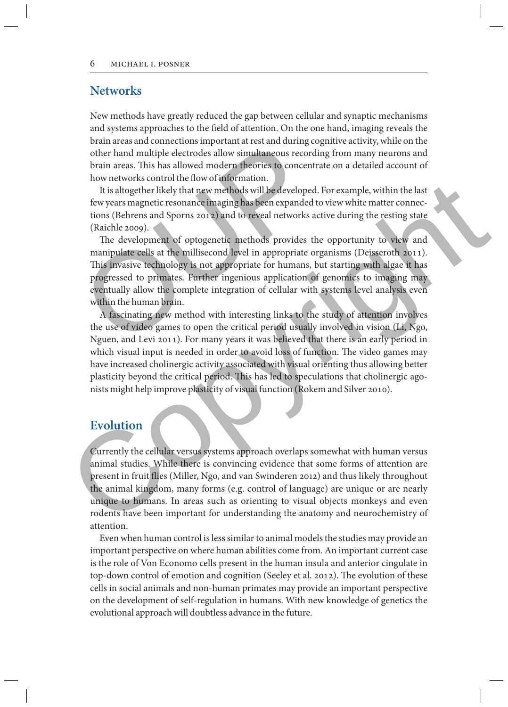#### **Networks**

 New methods have greatly reduced the gap between cellular and synaptic mechanisms and systems approaches to the field of attention. On the one hand, imaging reveals the brain areas and connections important at rest and during cognitive activity, while on the other hand multiple electrodes allow simultaneous recording from many neurons and brain areas. This has allowed modern theories to concentrate on a detailed account of how networks control the flow of information.

 It is altogether likely that new methods will be developed. For example, within the last few years magnetic resonance imaging has been expanded to view white matter connections (Behrens and Sporns 2012) and to reveal networks active during the resting state (Raichle 2009).

The development of optogenetic methods provides the opportunity to view and manipulate cells at the millisecond level in appropriate organisms (Deisseroth 2011). This invasive technology is not appropriate for humans, but starting with algae it has progressed to primates. Further ingenious application of genomics to imaging may eventually allow the complete integration of cellular with systems level analysis even within the human brain. brain areas and connections important at rest and during cognitive<br>other hand multiple electrodes allow simultaneous recording from<br>brain areas. This has allowed modern theories to concentrate on a<br>how networks control the

 A fascinating new method with interesting links to the study of attention involves the use of video games to open the critical period usually involved in vision (Li, Ngo, Nguen, and Levi 2011). For many years it was believed that there is an early period in which visual input is needed in order to avoid loss of function. The video games may have increased cholinergic activity associated with visual orienting thus allowing better plasticity beyond the critical period. This has led to speculations that cholinergic agonists might help improve plasticity of visual function (Rokem and Silver 2010). It is alonged<br>berelkely that new methods will be developed. For example, within the last<br>few years magnetic resonance imaging has been expanded to view which mater connect<br>tions (Behrens and Sporss zo re) and to reseal ne

#### **Evolution**

 Currently the cellular versus systems approach overlaps somewhat with human versus animal studies. While there is convincing evidence that some forms of attention are present in fruit fl ies (Miller, Ngo, and van Swinderen 2012) and thus likely throughout the animal kingdom, many forms (e.g. control of language) are unique or are nearly unique to humans. In areas such as orienting to visual objects monkeys and even rodents have been important for understanding the anatomy and neurochemistry of attention.

 Even when human control is less similar to animal models the studies may provide an important perspective on where human abilities come from. An important current case is the role of Von Economo cells present in the human insula and anterior cingulate in top-down control of emotion and cognition (Seeley et al. 2012). The evolution of these cells in social animals and non-human primates may provide an important perspective on the development of self-regulation in humans. With new knowledge of genetics the evolutional approach will doubtless advance in the future.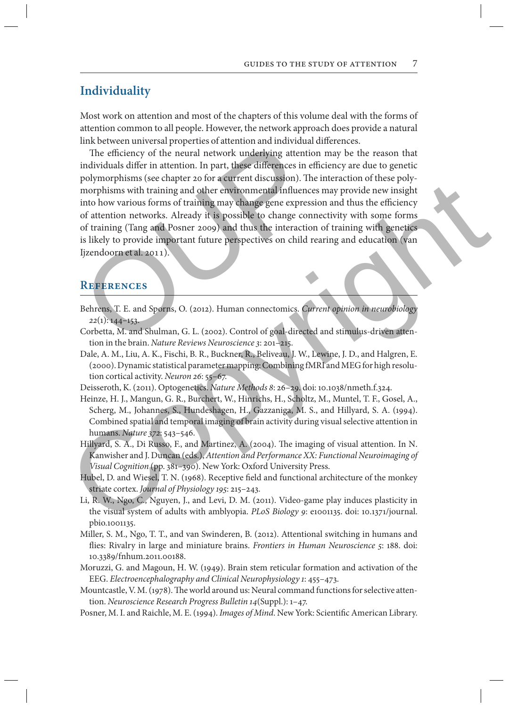## **Individuality**

 Most work on attention and most of the chapters of this volume deal with the forms of attention common to all people. However, the network approach does provide a natural link between universal properties of attention and individual differences.

The efficiency of the neural network underlying attention may be the reason that individuals differ in attention. In part, these differences in efficiency are due to genetic polymorphisms (see chapter 20 for a current discussion). The interaction of these polymorphisms with training and other environmental influences may provide new insight into how various forms of training may change gene expression and thus the efficiency of attention networks. Already it is possible to change connectivity with some forms of training (Tang and Posner 2009) and thus the interaction of training with genetics is likely to provide important future perspectives on child rearing and education (van Ijzendoorn et al. 2011). The efficiency of the neural network underlying attention and individual differences<br>The efficiency of the neural network underlying attention may b<br>individuals differ in attention. In part, these differences in efficiency point war also couplisms with training and other evolvements of influences may provide new insight<br>into how various forms of training and other evolvements of influences may provide new insight<br>into how various forms of t

#### **References**

- Behrens, T. E. and Sporns, O. (2012). Human connectomics. *Current opinion in neurobiology 22* (1): 144–153.
- Corbetta, M. and Shulman, G. L. (2002). Control of goal-directed and stimulus-driven attention in the brain. *Nature Reviews Neuroscience* 3: 201-215.
- Dale, A. M., Liu, A. K., Fischi, B. R., Buckner, R., Beliveau, J. W., Lewine, J. D., and Halgren, E. ( 2000 ). Dynamic statistical parameter mapping: Combining fMRI and MEG for high resolution cortical activity. *Neuron* 26: 55-67.
- Deisseroth, K. (2011). Optogenetics. *Nature Methods 8*: 26-29. doi: 10.1038/nmeth.f.324.
- Heinze, H. J., Mangun, G. R., Burchert, W., Hinrichs, H., Scholtz, M., Muntel, T. F., Gosel, A., Scherg, M., Johannes, S., Hundeshagen, H., Gazzaniga, M. S., and Hillyard, S. A. (1994). Combined spatial and temporal imaging of brain activity during visual selective attention in humans . *Nature 372* : 543–546 .
- Hillyard, S. A., Di Russo, F., and Martinez, A. (2004). The imaging of visual attention. In N. Kanwisher and J . Duncan (eds.), *Attention and Performance XX: Functional Neuroimaging of Visual Cognition* (pp. 381–390 ). New York: Oxford University Press.
- Hubel, D. and Wiesel, T. N. (1968). Receptive field and functional architecture of the monkey striate cortex . *Journal of Physiology 195* : 215–243 .
- Li, R. W., Ngo, C., Nguyen, J., and Levi, D. M. (2011). Video-game play induces plasticity in the visual system of adults with amblyopia. *PLoS Biology 9*: e1001135. doi: 10.1371/journal. pbio.1001135.
- Miller, S. M., Ngo, T. T., and van Swinderen, B. (2012). Attentional switching in humans and flies: Rivalry in large and miniature brains. *Frontiers in Human Neuroscience* 5: 188. doi: 10.3389/fnhum.2011.00188.
- Moruzzi, G. and Magoun, H. W. (1949). Brain stem reticular formation and activation of the EEG . *Electroencephalography and Clinical Neurophysiology 1* : 455–473 .
- Mountcastle, V. M. (1978). The world around us: Neural command functions for selective attention . *Neuroscience Research Progress Bulletin 14* (Suppl.): 1–47 .
- Posner, M. I. and Raichle, M. E. (1994). *Images of Mind*. New York: Scientific American Library.